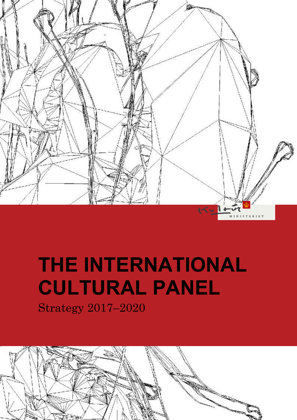

## **THE INTERNATIONAL CULTURAL PANEL**

Strategy 2017–2020

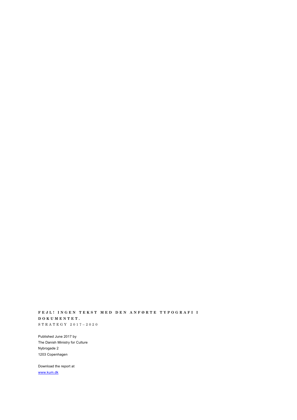**F E J L ! I N G E N T E K S T M E D D E N A N F Ø R T E T Y P O G R A F I I D O K U M E N T E T .** S T R A T E G Y 2 0 1 7 – 2 0 2 0

Published June 2017 by The Danish Ministry for Culture Nybrogade 2 1203 Copenhagen

Download the report at [www.kum.dk](http://www.kum.dk/)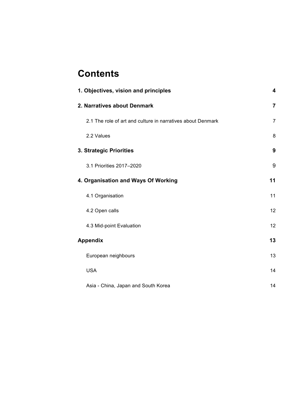## **Contents**

| 1. Objectives, vision and principles                        | 4              |
|-------------------------------------------------------------|----------------|
| 2. Narratives about Denmark                                 | $\overline{7}$ |
| 2.1 The role of art and culture in narratives about Denmark | $\overline{7}$ |
| 2.2 Values                                                  | 8              |
| 3. Strategic Priorities                                     | 9              |
| 3.1 Priorities 2017-2020                                    | 9              |
| 4. Organisation and Ways Of Working                         | 11             |
| 4.1 Organisation                                            | 11             |
| 4.2 Open calls                                              | 12             |
| 4.3 Mid-point Evaluation                                    | 12             |
| <b>Appendix</b>                                             | 13             |
| European neighbours                                         | 13             |
| <b>USA</b>                                                  | 14             |
| Asia - China, Japan and South Korea                         | 14             |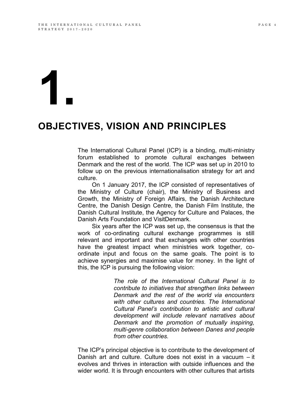# **1.**

### **OBJECTIVES, VISION AND PRINCIPLES**

The International Cultural Panel (ICP) is a binding, multi-ministry forum established to promote cultural exchanges between Denmark and the rest of the world. The ICP was set up in 2010 to follow up on the previous internationalisation strategy for art and culture.

On 1 January 2017, the ICP consisted of representatives of the Ministry of Culture (chair), the Ministry of Business and Growth, the Ministry of Foreign Affairs, the Danish Architecture Centre, the Danish Design Centre, the Danish Film Institute, the Danish Cultural Institute, the Agency for Culture and Palaces, the Danish Arts Foundation and VisitDenmark.

Six years after the ICP was set up, the consensus is that the work of co-ordinating cultural exchange programmes is still relevant and important and that exchanges with other countries have the greatest impact when ministries work together, coordinate input and focus on the same goals. The point is to achieve synergies and maximise value for money. In the light of this, the ICP is pursuing the following vision:

> *The role of the International Cultural Panel is to contribute to initiatives that strengthen links between Denmark and the rest of the world via encounters with other cultures and countries. The International Cultural Panel's contribution to artistic and cultural development will include relevant narratives about Denmark and the promotion of mutually inspiring, multi-genre collaboration between Danes and people from other countries.*

The ICP's principal objective is to contribute to the development of Danish art and culture. Culture does not exist in a vacuum – it evolves and thrives in interaction with outside influences and the wider world. It is through encounters with other cultures that artists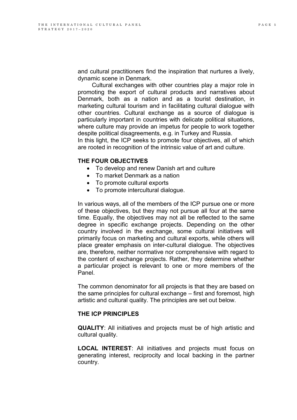and cultural practitioners find the inspiration that nurtures a lively, dynamic scene in Denmark.

Cultural exchanges with other countries play a major role in promoting the export of cultural products and narratives about Denmark, both as a nation and as a tourist destination, in marketing cultural tourism and in facilitating cultural dialogue with other countries. Cultural exchange as a source of dialogue is particularly important in countries with delicate political situations, where culture may provide an impetus for people to work together despite political disagreements, e.g. in Turkey and Russia.

In this light, the ICP seeks to promote four objectives, all of which are rooted in recognition of the intrinsic value of art and culture.

#### **THE FOUR OBJECTIVES**

- To develop and renew Danish art and culture
- To market Denmark as a nation
- To promote cultural exports
- To promote intercultural dialogue.

In various ways, all of the members of the ICP pursue one or more of these objectives, but they may not pursue all four at the same time. Equally, the objectives may not all be reflected to the same degree in specific exchange projects. Depending on the other country involved in the exchange, some cultural initiatives will primarily focus on marketing and cultural exports, while others will place greater emphasis on inter-cultural dialogue. The objectives are, therefore, neither normative nor comprehensive with regard to the content of exchange projects. Rather, they determine whether a particular project is relevant to one or more members of the Panel.

The common denominator for all projects is that they are based on the same principles for cultural exchange – first and foremost, high artistic and cultural quality. The principles are set out below.

#### **THE ICP PRINCIPLES**

**QUALITY**: All initiatives and projects must be of high artistic and cultural quality.

**LOCAL INTEREST**: All initiatives and projects must focus on generating interest, reciprocity and local backing in the partner country.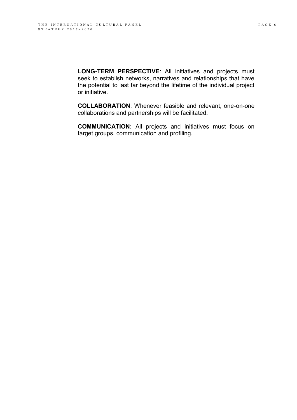**LONG-TERM PERSPECTIVE**: All initiatives and projects must seek to establish networks, narratives and relationships that have the potential to last far beyond the lifetime of the individual project or initiative.

**COLLABORATION**: Whenever feasible and relevant, one-on-one collaborations and partnerships will be facilitated.

**COMMUNICATION**: All projects and initiatives must focus on target groups, communication and profiling.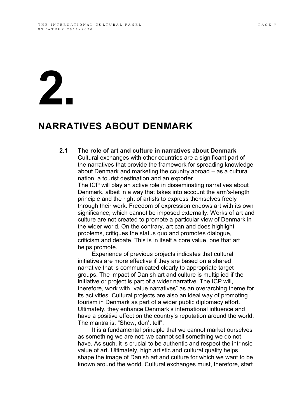# **2.**

### **NARRATIVES ABOUT DENMARK**

#### **2.1 The role of art and culture in narratives about Denmark**  Cultural exchanges with other countries are a significant part of

the narratives that provide the framework for spreading knowledge about Denmark and marketing the country abroad – as a cultural nation, a tourist destination and an exporter.

The ICP will play an active role in disseminating narratives about Denmark, albeit in a way that takes into account the arm's-length principle and the right of artists to express themselves freely through their work. Freedom of expression endows art with its own significance, which cannot be imposed externally. Works of art and culture are not created to promote a particular view of Denmark in the wider world. On the contrary, art can and does highlight problems, critiques the status quo and promotes dialogue, criticism and debate. This is in itself a core value, one that art helps promote.

Experience of previous projects indicates that cultural initiatives are more effective if they are based on a shared narrative that is communicated clearly to appropriate target groups. The impact of Danish art and culture is multiplied if the initiative or project is part of a wider narrative. The ICP will, therefore, work with "value narratives" as an overarching theme for its activities. Cultural projects are also an ideal way of promoting tourism in Denmark as part of a wider public diplomacy effort. Ultimately, they enhance Denmark's international influence and have a positive effect on the country's reputation around the world. The mantra is: "Show, don't tell".

It is a fundamental principle that we cannot market ourselves as something we are not; we cannot sell something we do not have. As such, it is crucial to be authentic and respect the intrinsic value of art. Ultimately, high artistic and cultural quality helps shape the image of Danish art and culture for which we want to be known around the world. Cultural exchanges must, therefore, start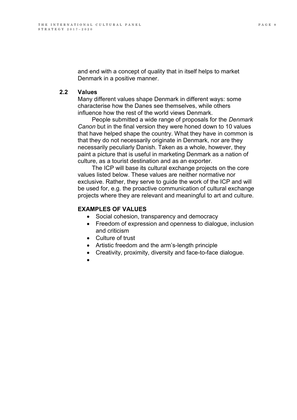and end with a concept of quality that in itself helps to market Denmark in a positive manner.

#### **2.2 Values**

Many different values shape Denmark in different ways: some characterise how the Danes see themselves, while others influence how the rest of the world views Denmark.

People submitted a wide range of proposals for the *Denmark Canon* but in the final version they were honed down to 10 values that have helped shape the country. What they have in common is that they do not necessarily originate in Denmark, nor are they necessarily peculiarly Danish. Taken as a whole, however, they paint a picture that is useful in marketing Denmark as a nation of culture, as a tourist destination and as an exporter.

The ICP will base its cultural exchange projects on the core values listed below. These values are neither normative nor exclusive. Rather, they serve to guide the work of the ICP and will be used for, e.g. the proactive communication of cultural exchange projects where they are relevant and meaningful to art and culture.

#### **EXAMPLES OF VALUES**

- Social cohesion, transparency and democracy
- Freedom of expression and openness to dialogue, inclusion and criticism
- Culture of trust
- Artistic freedom and the arm's-length principle
- Creativity, proximity, diversity and face-to-face dialogue.
- $\bullet$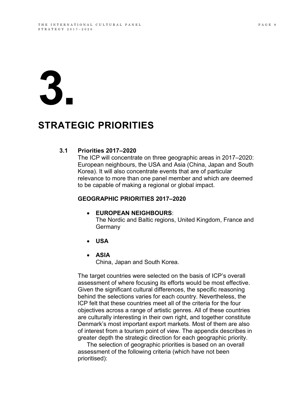# **3.**

## **3. STRATEGIC PRIORITIES**

#### **3.1 Priorities 2017–2020**

The ICP will concentrate on three geographic areas in 2017–2020: European neighbours, the USA and Asia (China, Japan and South Korea). It will also concentrate events that are of particular relevance to more than one panel member and which are deemed to be capable of making a regional or global impact.

#### **GEOGRAPHIC PRIORITIES 2017–2020**

#### **EUROPEAN NEIGHBOURS**:

The Nordic and Baltic regions, United Kingdom, France and Germany

- **USA**
- **ASIA**  China, Japan and South Korea.

The target countries were selected on the basis of ICP's overall assessment of where focusing its efforts would be most effective. Given the significant cultural differences, the specific reasoning behind the selections varies for each country. Nevertheless, the ICP felt that these countries meet all of the criteria for the four objectives across a range of artistic genres. All of these countries are culturally interesting in their own right, and together constitute Denmark's most important export markets. Most of them are also of interest from a tourism point of view. The appendix describes in greater depth the strategic direction for each geographic priority.

The selection of geographic priorities is based on an overall assessment of the following criteria (which have not been prioritised):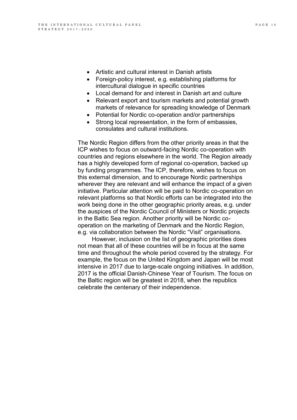- Artistic and cultural interest in Danish artists
- Foreign-policy interest, e.g. establishing platforms for intercultural dialogue in specific countries
- Local demand for and interest in Danish art and culture
- Relevant export and tourism markets and potential growth markets of relevance for spreading knowledge of Denmark
- Potential for Nordic co-operation and/or partnerships
- Strong local representation, in the form of embassies, consulates and cultural institutions.

The Nordic Region differs from the other priority areas in that the ICP wishes to focus on outward-facing Nordic co-operation with countries and regions elsewhere in the world. The Region already has a highly developed form of regional co-operation, backed up by funding programmes. The ICP, therefore, wishes to focus on this external dimension, and to encourage Nordic partnerships wherever they are relevant and will enhance the impact of a given initiative. Particular attention will be paid to Nordic co-operation on relevant platforms so that Nordic efforts can be integrated into the work being done in the other geographic priority areas, e.g. under the auspices of the Nordic Council of Ministers or Nordic projects in the Baltic Sea region. Another priority will be Nordic cooperation on the marketing of Denmark and the Nordic Region, e.g. via collaboration between the Nordic "Visit" organisations.

However, inclusion on the list of geographic priorities does not mean that all of these countries will be in focus at the same time and throughout the whole period covered by the strategy. For example, the focus on the United Kingdom and Japan will be most intensive in 2017 due to large-scale ongoing initiatives. In addition, 2017 is the official Danish-Chinese Year of Tourism. The focus on the Baltic region will be greatest in 2018, when the republics celebrate the centenary of their independence.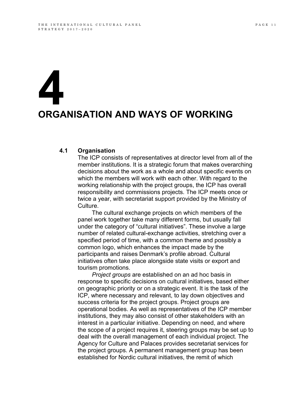# **4 ORGANISATION AND WAYS OF WORKING**

#### **4.1 Organisation**

The ICP consists of representatives at director level from all of the member institutions. It is a strategic forum that makes overarching decisions about the work as a whole and about specific events on which the members will work with each other. With regard to the working relationship with the project groups, the ICP has overall responsibility and commissions projects. The ICP meets once or twice a year, with secretariat support provided by the Ministry of Culture.

The cultural exchange projects on which members of the panel work together take many different forms, but usually fall under the category of "cultural initiatives". These involve a large number of related cultural-exchange activities, stretching over a specified period of time, with a common theme and possibly a common logo, which enhances the impact made by the participants and raises Denmark's profile abroad. Cultural initiatives often take place alongside state visits or export and tourism promotions.

*Project groups* are established on an ad hoc basis in response to specific decisions on cultural initiatives, based either on geographic priority or on a strategic event. It is the task of the ICP, where necessary and relevant, to lay down objectives and success criteria for the project groups. Project groups are operational bodies. As well as representatives of the ICP member institutions, they may also consist of other stakeholders with an interest in a particular initiative. Depending on need, and where the scope of a project requires it, steering groups may be set up to deal with the overall management of each individual project. The Agency for Culture and Palaces provides secretariat services for the project groups. A permanent management group has been established for Nordic cultural initiatives, the remit of which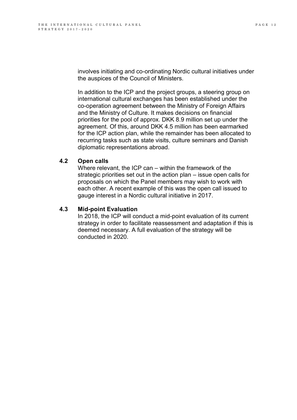involves initiating and co-ordinating Nordic cultural initiatives under the auspices of the Council of Ministers.

In addition to the ICP and the project groups, a steering group on international cultural exchanges has been established under the co-operation agreement between the Ministry of Foreign Affairs and the Ministry of Culture. It makes decisions on financial priorities for the pool of approx. DKK 8.9 million set up under the agreement. Of this, around DKK 4.5 million has been earmarked for the ICP action plan, while the remainder has been allocated to recurring tasks such as state visits, culture seminars and Danish diplomatic representations abroad.

#### **4.2 Open calls**

Where relevant, the ICP can – within the framework of the strategic priorities set out in the action plan – issue open calls for proposals on which the Panel members may wish to work with each other. A recent example of this was the open call issued to gauge interest in a Nordic cultural initiative in 2017.

#### **4.3 Mid-point Evaluation**

In 2018, the ICP will conduct a mid-point evaluation of its current strategy in order to facilitate reassessment and adaptation if this is deemed necessary. A full evaluation of the strategy will be conducted in 2020.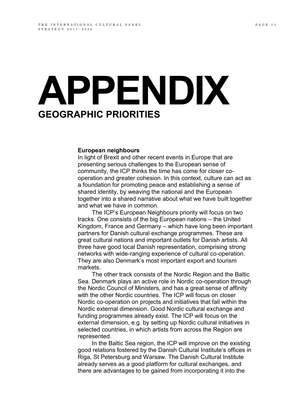## **APPENDIX GEOGRAPHIC PRIORITIES**

#### **European neighbours**

In light of Brexit and other recent events in Europe that are presenting serious challenges to the European sense of community, the ICP thinks the time has come for closer cooperation and greater cohesion. In this context, culture can act as a foundation for promoting peace and establishing a sense of shared identity, by weaving the national and the European together into a shared narrative about what we have built together and what we have in common.

The ICP's European Neighbours priority will focus on two tracks. One consists of the big European nations – the United Kingdom, France and Germany – which have long been important partners for Danish cultural exchange programmes. These are great cultural nations and important outlets for Danish artists. All three have good local Danish representation, comprising strong networks with wide-ranging experience of cultural co-operation. They are also Denmark's most important export and tourism markets.

The other track consists of the Nordic Region and the Baltic Sea. Denmark plays an active role in Nordic co-operation through the Nordic Council of Ministers, and has a great sense of affinity with the other Nordic countries. The ICP will focus on closer Nordic co-operation on projects and initiatives that fall within the Nordic external dimension. Good Nordic cultural exchange and funding programmes already exist. The ICP will focus on the external dimension, e.g. by setting up Nordic cultural initiatives in selected countries, in which artists from across the Region are represented.

In the Baltic Sea region, the ICP will improve on the existing good relations fostered by the Danish Cultural Institute's offices in Riga, St Petersburg and Warsaw. The Danish Cultural Institute already serves as a good platform for cultural exchanges, and there are advantages to be gained from incorporating it into the